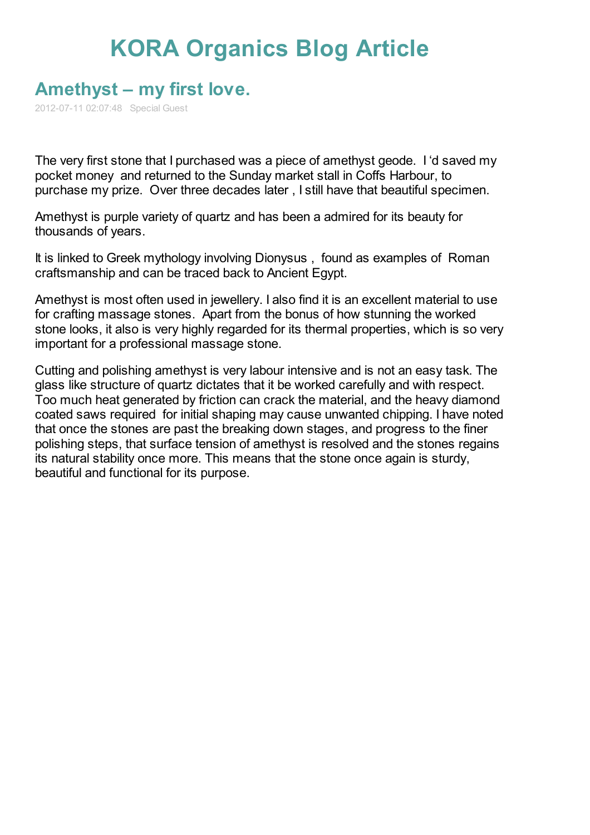## **KORA [Organics](http://www.koraorganics.com/blog) Blog Article**

## **[Amethyst](http://www.koraorganics.com/blog/live-in-my-skin/all-things-organic/organic-certification/amethyst-%e2%80%93-my-first-love/) – my first love.**

2012-07-11 02:07:48 Special Guest

The very first stone that I purchased was a piece of amethyst geode. I 'd saved my pocket money and returned to the Sunday market stall in Coffs Harbour, to purchase my prize. Over three decades later , I still have that beautiful specimen.

Amethyst is purple variety of quartz and has been a admired for its beauty for thousands of years.

It is linked to Greek mythology involving Dionysus , found as examples of Roman craftsmanship and can be traced back to Ancient Egypt.

Amethyst is most often used in jewellery. I also find it is an excellent material to use for crafting massage stones. Apart from the bonus of how stunning the worked stone looks, it also is very highly regarded for its thermal properties, which is so very important for a professional massage stone.

Cutting and polishing amethyst is very labour intensive and is not an easy task. The glass like structure of quartz dictates that it be worked carefully and with respect. Too much heat generated by friction can crack the material, and the heavy diamond coated saws required for initial shaping may cause unwanted chipping. I have noted that once the stones are past the breaking down stages, and progress to the finer polishing steps, that surface tension of amethyst is resolved and the stones regains its natural stability once more. This means that the stone once again is sturdy, beautiful and functional for its purpose.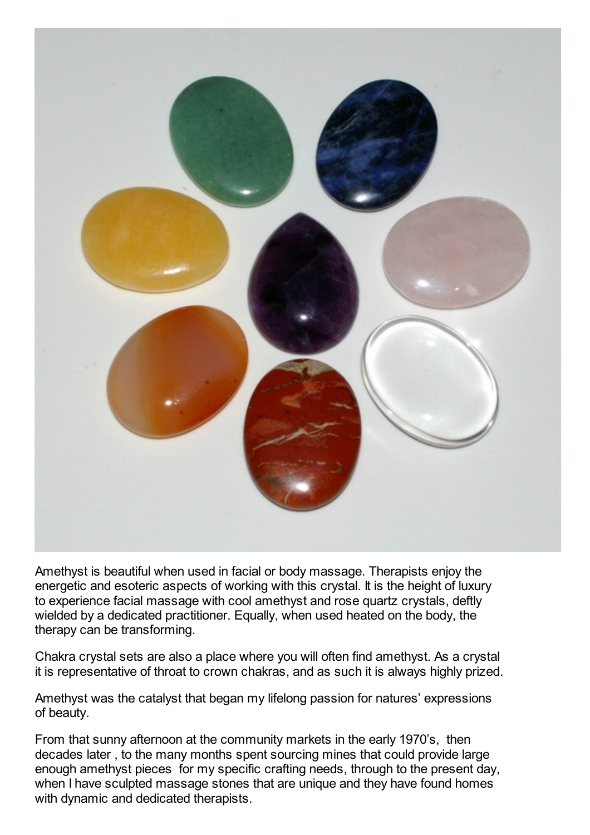

Amethyst is beautiful when used in facial or body massage. Therapists enjoy the energetic and esoteric aspects of working with this crystal. It is the height of luxury to [experience](http://www.koraorganics.com/blog/live-in-my-skin/all-things-organic/organic-certification/amethyst-%e2%80%93-my-first-love/attachment/brett2/) facial massage with cool amethyst and rose quartz crystals, deftly wielded by a dedicated practitioner. Equally, when used heated on the body, the therapy can be transforming.

Chakra crystal sets are also a place where you will often find amethyst. As a crystal it is representative of throat to crown chakras, and as such it is always highly prized.

Amethyst was the catalyst that began my lifelong passion for natures' expressions of beauty.

From that sunny afternoon at the community markets in the early 1970's, then decades later , to the many months spent sourcing mines that could provide large enough amethyst pieces for my specific crafting needs, through to the present day, when I have sculpted massage stones that are unique and they have found homes with dynamic and dedicated therapists.